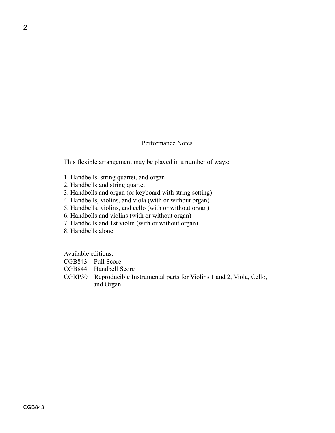## Performance Notes

This flexible arrangement may be played in a number of ways:

- 1. Handbells, string quartet, and organ
- 2. Handbells and string quartet
- 3. Handbells and organ (or keyboard with string setting)
- 4. Handbells, violins, and viola (with or without organ)
- 5. Handbells, violins, and cello (with or without organ)
- 6. Handbells and violins (with or without organ)
- 7. Handbells and 1st violin (with or without organ)
- 8. Handbells alone

Available editions:

- CGB843 Full Score
- CGB844 Handbell Score
- CGRP30 Reproducible Instrumental parts for Violins 1 and 2, Viola, Cello, and Organ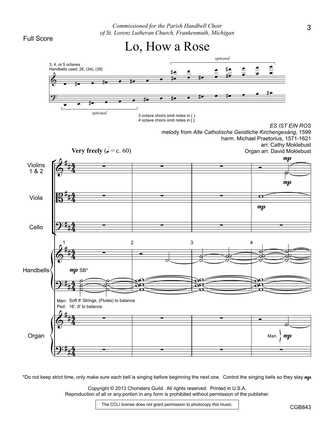



\*Do not keep strict time, only make sure each bell is singing before beginning the next one. Control the singing bells so they stay mp.

Copyright © 2013 Choristers Guild. All rights reserved. Printed in U.S.A. Reproduction of all or any portion in any form is prohibited without permission of the publisher.

The CCLI license does not grant permission to photocopy this music.

CGB843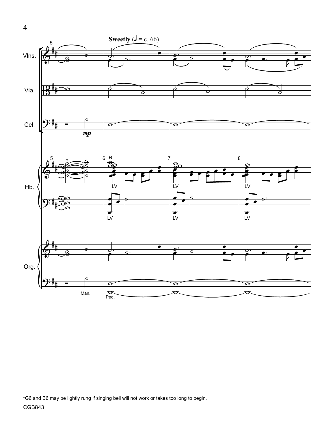

\*G6 and B6 may be lightly rung if singing bell will not work or takes too long to begin.